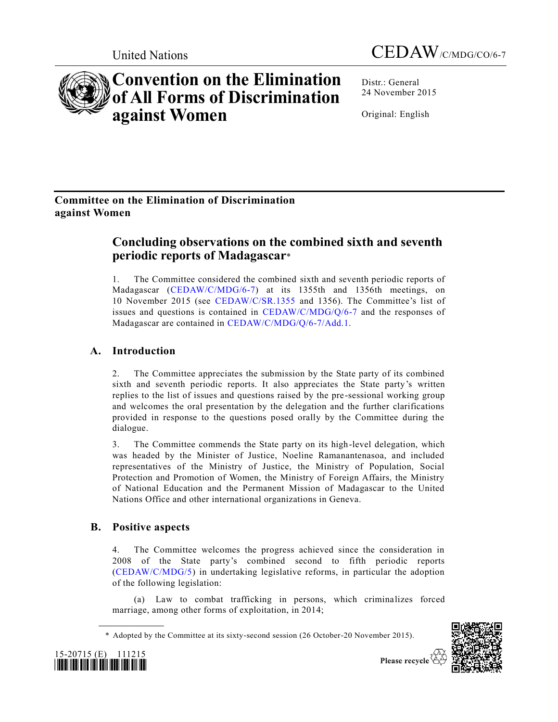

Distr.: General 24 November 2015

Original: English

# **Committee on the Elimination of Discrimination against Women**

**against Women**

**Convention on the Elimination of All Forms of Discrimination** 

# **Concluding observations on the combined sixth and seventh periodic reports of Madagascar**\*

1. The Committee considered the combined sixth and seventh periodic reports of Madagascar [\(CEDAW/C/MDG/6-7\)](http://undocs.org/CEDAW/C/MDG/6) at its 1355th and 1356th meetings, on 10 November 2015 (see [CEDAW/C/SR.1355](http://undocs.org/CEDAW/C/SR.1355) and 1356). The Committee's list of issues and questions is contained in [CEDAW/C/MDG/Q/6-7](http://undocs.org/CEDAW/C/MDG/Q/6) and the responses of Madagascar are contained in [CEDAW/C/MDG/Q/6-7/Add.1.](http://undocs.org/CEDAW/C/MDG/Q/6-7/Add.1)

# **A. Introduction**

2. The Committee appreciates the submission by the State party of its combined sixth and seventh periodic reports. It also appreciates the State party's written replies to the list of issues and questions raised by the pre-sessional working group and welcomes the oral presentation by the delegation and the further clarifications provided in response to the questions posed orally by the Committee during the dialogue.

3. The Committee commends the State party on its high-level delegation, which was headed by the Minister of Justice, Noeline Ramanantenasoa, and included representatives of the Ministry of Justice, the Ministry of Population, Social Protection and Promotion of Women, the Ministry of Foreign Affairs, the Ministry of National Education and the Permanent Mission of Madagascar to the United Nations Office and other international organizations in Geneva.

# **B. Positive aspects**

4. The Committee welcomes the progress achieved since the consideration in 2008 of the State party's combined second to fifth periodic reports [\(CEDAW/C/MDG/5\)](http://undocs.org/CEDAW/C/MDG/5) in undertaking legislative reforms, in particular the adoption of the following legislation:

(a) Law to combat trafficking in persons, which criminalizes forced marriage, among other forms of exploitation, in 2014;

<sup>\*</sup> Adopted by the Committee at its sixty-second session (26 October-20 November 2015).



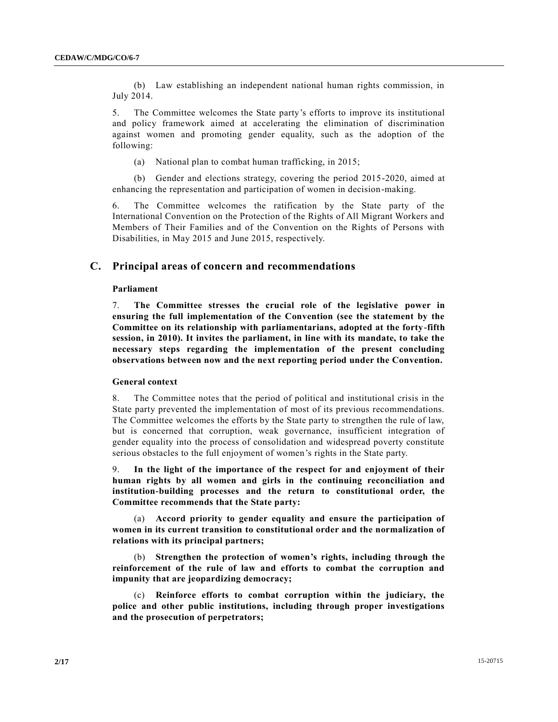(b) Law establishing an independent national human rights commission, in July 2014.

5. The Committee welcomes the State party's efforts to improve its institutional and policy framework aimed at accelerating the elimination of discrimination against women and promoting gender equality, such as the adoption of the following:

(a) National plan to combat human trafficking, in 2015;

(b) Gender and elections strategy, covering the period 2015-2020, aimed at enhancing the representation and participation of women in decision-making.

6. The Committee welcomes the ratification by the State party of the International Convention on the Protection of the Rights of All Migrant Workers and Members of Their Families and of the Convention on the Rights of Persons with Disabilities, in May 2015 and June 2015, respectively.

## **C. Principal areas of concern and recommendations**

## **Parliament**

7. **The Committee stresses the crucial role of the legislative power in ensuring the full implementation of the Convention (see the statement by the Committee on its relationship with parliamentarians, adopted at the forty-fifth session, in 2010). It invites the parliament, in line with its mandate, to take the necessary steps regarding the implementation of the present concluding observations between now and the next reporting period under the Convention.**

## **General context**

8. The Committee notes that the period of political and institutional crisis in the State party prevented the implementation of most of its previous recommendations. The Committee welcomes the efforts by the State party to strengthen the rule of law, but is concerned that corruption, weak governance, insufficient integration of gender equality into the process of consolidation and widespread poverty constitute serious obstacles to the full enjoyment of women's rights in the State party.

9. **In the light of the importance of the respect for and enjoyment of their human rights by all women and girls in the continuing reconciliation and institution-building processes and the return to constitutional order, the Committee recommends that the State party:**

(a) **Accord priority to gender equality and ensure the participation of women in its current transition to constitutional order and the normalization of relations with its principal partners;** 

(b) **Strengthen the protection of women's rights, including through the reinforcement of the rule of law and efforts to combat the corruption and impunity that are jeopardizing democracy;**

(c) **Reinforce efforts to combat corruption within the judiciary, the police and other public institutions, including through proper investigations and the prosecution of perpetrators;**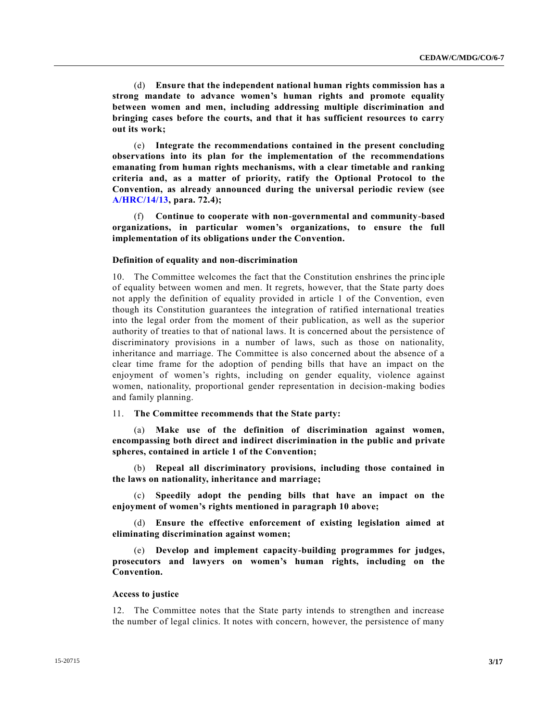(d) **Ensure that the independent national human rights commission has a strong mandate to advance women's human rights and promote equality between women and men, including addressing multiple discrimination and bringing cases before the courts, and that it has sufficient resources to carry out its work;**

(e) **Integrate the recommendations contained in the present concluding observations into its plan for the implementation of the recommendations emanating from human rights mechanisms, with a clear timetable and ranking criteria and, as a matter of priority, ratify the Optional Protocol to the Convention, as already announced during the universal periodic review (see [A/HRC/14/13,](http://undocs.org/A/HRC/14/13) para. 72.4);** 

(f) **Continue to cooperate with non-governmental and community-based organizations, in particular women's organizations, to ensure the full implementation of its obligations under the Convention.**

## **Definition of equality and non-discrimination**

10. The Committee welcomes the fact that the Constitution enshrines the princ iple of equality between women and men. It regrets, however, that the State party does not apply the definition of equality provided in article 1 of the Convention, even though its Constitution guarantees the integration of ratified international treaties into the legal order from the moment of their publication, as well as the superior authority of treaties to that of national laws. It is concerned about the persistence of discriminatory provisions in a number of laws, such as those on nationality, inheritance and marriage. The Committee is also concerned about the absence of a clear time frame for the adoption of pending bills that have an impact on the enjoyment of women's rights, including on gender equality, violence against women, nationality, proportional gender representation in decision-making bodies and family planning.

### 11. **The Committee recommends that the State party:**

(a) **Make use of the definition of discrimination against women, encompassing both direct and indirect discrimination in the public and private spheres, contained in article 1 of the Convention;**

(b) **Repeal all discriminatory provisions, including those contained in the laws on nationality, inheritance and marriage;**

(c) **Speedily adopt the pending bills that have an impact on the enjoyment of women's rights mentioned in paragraph 10 above;**

(d) **Ensure the effective enforcement of existing legislation aimed at eliminating discrimination against women;**

(e) **Develop and implement capacity-building programmes for judges, prosecutors and lawyers on women's human rights, including on the Convention.**

#### **Access to justice**

12. The Committee notes that the State party intends to strengthen and increase the number of legal clinics. It notes with concern, however, the persistence of many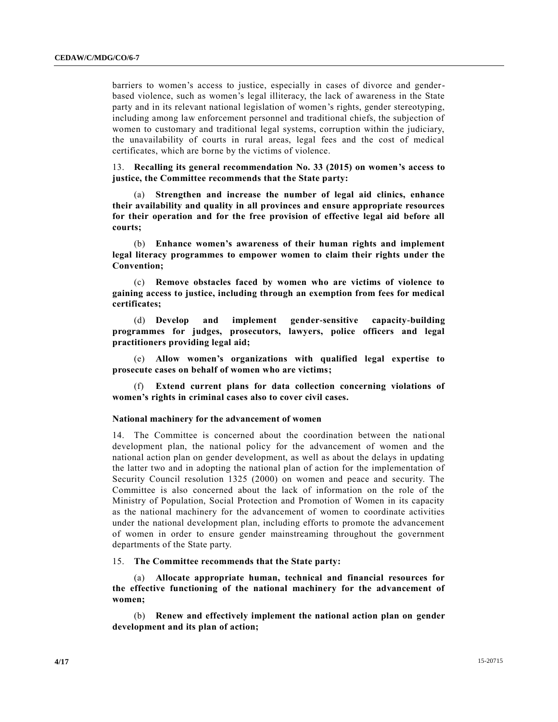barriers to women's access to justice, especially in cases of divorce and genderbased violence, such as women's legal illiteracy, the lack of awareness in the State party and in its relevant national legislation of women's rights, gender stereotyping, including among law enforcement personnel and traditional chiefs, the subjection of women to customary and traditional legal systems, corruption within the judiciary, the unavailability of courts in rural areas, legal fees and the cost of medical certificates, which are borne by the victims of violence.

13. **Recalling its general recommendation No. 33 (2015) on women's access to justice, the Committee recommends that the State party:** 

(a) **Strengthen and increase the number of legal aid clinics, enhance their availability and quality in all provinces and ensure appropriate resources for their operation and for the free provision of effective legal aid before all courts;**

(b) **Enhance women's awareness of their human rights and implement legal literacy programmes to empower women to claim their rights under the Convention;**

(c) **Remove obstacles faced by women who are victims of violence to gaining access to justice, including through an exemption from fees for medical certificates;**

(d) **Develop and implement gender-sensitive capacity-building programmes for judges, prosecutors, lawyers, police officers and legal practitioners providing legal aid;** 

(e) **Allow women's organizations with qualified legal expertise to prosecute cases on behalf of women who are victims;**

(f) **Extend current plans for data collection concerning violations of women's rights in criminal cases also to cover civil cases.** 

## **National machinery for the advancement of women**

14. The Committee is concerned about the coordination between the national development plan, the national policy for the advancement of women and the national action plan on gender development, as well as about the delays in updating the latter two and in adopting the national plan of action for the implementation of Security Council resolution 1325 (2000) on women and peace and security. The Committee is also concerned about the lack of information on the role of the Ministry of Population, Social Protection and Promotion of Women in its capacity as the national machinery for the advancement of women to coordinate activities under the national development plan, including efforts to promote the advancement of women in order to ensure gender mainstreaming throughout the government departments of the State party.

## 15. **The Committee recommends that the State party:**

(a) **Allocate appropriate human, technical and financial resources for the effective functioning of the national machinery for the advancement of women;**

(b) **Renew and effectively implement the national action plan on gender development and its plan of action;**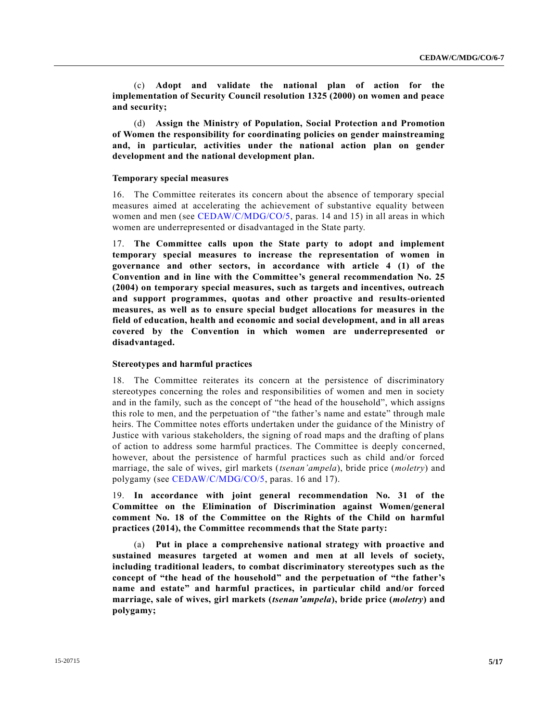(c) **Adopt and validate the national plan of action for the implementation of Security Council resolution 1325 (2000) on women and peace and security;**

(d) **Assign the Ministry of Population, Social Protection and Promotion of Women the responsibility for coordinating policies on gender mainstreaming and, in particular, activities under the national action plan on gender development and the national development plan.**

## **Temporary special measures**

16. The Committee reiterates its concern about the absence of temporary special measures aimed at accelerating the achievement of substantive equality between women and men (see [CEDAW/C/MDG/CO/5,](http://undocs.org/CEDAW/C/MDG/CO/5) paras. 14 and 15) in all areas in which women are underrepresented or disadvantaged in the State party.

17. **The Committee calls upon the State party to adopt and implement temporary special measures to increase the representation of women in governance and other sectors, in accordance with article 4 (1) of the Convention and in line with the Committee's general recommendation No. 25 (2004) on temporary special measures, such as targets and incentives, outreach and support programmes, quotas and other proactive and results-oriented measures, as well as to ensure special budget allocations for measures in the field of education, health and economic and social development, and in all areas covered by the Convention in which women are underrepresented or disadvantaged.**

## **Stereotypes and harmful practices**

18. The Committee reiterates its concern at the persistence of discriminatory stereotypes concerning the roles and responsibilities of women and men in society and in the family, such as the concept of "the head of the household", which assigns this role to men, and the perpetuation of "the father's name and estate" through male heirs. The Committee notes efforts undertaken under the guidance of the Ministry of Justice with various stakeholders, the signing of road maps and the drafting of plans of action to address some harmful practices. The Committee is deeply concerned, however, about the persistence of harmful practices such as child and/or forced marriage, the sale of wives, girl markets (*tsenan'ampela*), bride price (*moletry*) and polygamy (see [CEDAW/C/MDG/CO/5,](http://undocs.org/CEDAW/C/MDG/CO/5) paras. 16 and 17).

19. **In accordance with joint general recommendation No. 31 of the Committee on the Elimination of Discrimination against Women/general comment No. 18 of the Committee on the Rights of the Child on harmful practices (2014), the Committee recommends that the State party:**

(a) **Put in place a comprehensive national strategy with proactive and sustained measures targeted at women and men at all levels of society, including traditional leaders, to combat discriminatory stereotypes such as the concept of "the head of the household" and the perpetuation of "the father's name and estate" and harmful practices, in particular child and/or forced marriage, sale of wives, girl markets (***tsenan'ampela***), bride price (***moletry***) and polygamy;**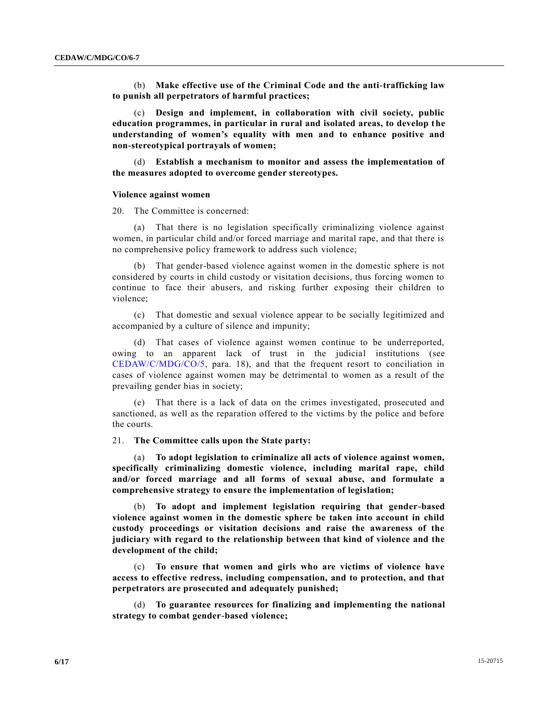(b) **Make effective use of the Criminal Code and the anti-trafficking law to punish all perpetrators of harmful practices;**

(c) **Design and implement, in collaboration with civil society, public education programmes, in particular in rural and isolated areas, to develop the understanding of women's equality with men and to enhance positive and non-stereotypical portrayals of women;**

(d) **Establish a mechanism to monitor and assess the implementation of the measures adopted to overcome gender stereotypes.**

#### **Violence against women**

20. The Committee is concerned:

(a) That there is no legislation specifically criminalizing violence against women, in particular child and/or forced marriage and marital rape, and that there is no comprehensive policy framework to address such violence;

(b) That gender-based violence against women in the domestic sphere is not considered by courts in child custody or visitation decisions, thus forcing women to continue to face their abusers, and risking further exposing their children to violence;

(c) That domestic and sexual violence appear to be socially legitimized and accompanied by a culture of silence and impunity;

(d) That cases of violence against women continue to be underreported, owing to an apparent lack of trust in the judicial institutions (see [CEDAW/C/MDG/CO/5,](http://undocs.org/CEDAW/C/MDG/CO/5) para. 18), and that the frequent resort to conciliation in cases of violence against women may be detrimental to women as a result of the prevailing gender bias in society;

(e) That there is a lack of data on the crimes investigated, prosecuted and sanctioned, as well as the reparation offered to the victims by the police and before the courts.

## 21. **The Committee calls upon the State party:**

(a) **To adopt legislation to criminalize all acts of violence against women, specifically criminalizing domestic violence, including marital rape, child and/or forced marriage and all forms of sexual abuse, and formulate a comprehensive strategy to ensure the implementation of legislation;**

(b) **To adopt and implement legislation requiring that gender-based violence against women in the domestic sphere be taken into account in child custody proceedings or visitation decisions and raise the awareness of the judiciary with regard to the relationship between that kind of violence and the development of the child;**

(c) **To ensure that women and girls who are victims of violence have access to effective redress, including compensation, and to protection, and that perpetrators are prosecuted and adequately punished;** 

(d) **To guarantee resources for finalizing and implementing the national strategy to combat gender-based violence;**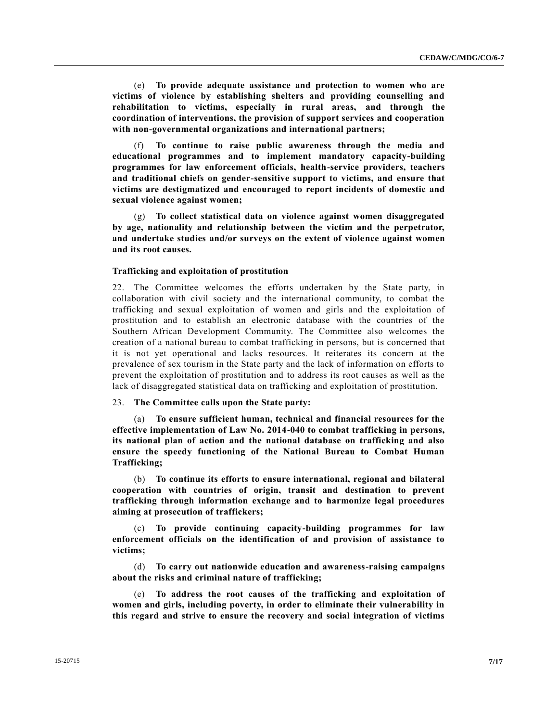(e) **To provide adequate assistance and protection to women who are victims of violence by establishing shelters and providing counselling and rehabilitation to victims, especially in rural areas, and through the coordination of interventions, the provision of support services and cooperation with non-governmental organizations and international partners;**

(f) **To continue to raise public awareness through the media and educational programmes and to implement mandatory capacity-building programmes for law enforcement officials, health-service providers, teachers and traditional chiefs on gender-sensitive support to victims, and ensure that victims are destigmatized and encouraged to report incidents of domestic and sexual violence against women;**

(g) **To collect statistical data on violence against women disaggregated by age, nationality and relationship between the victim and the perpetrator, and undertake studies and/or surveys on the extent of violence against women and its root causes.**

## **Trafficking and exploitation of prostitution**

22. The Committee welcomes the efforts undertaken by the State party, in collaboration with civil society and the international community, to combat the trafficking and sexual exploitation of women and girls and the exploitation of prostitution and to establish an electronic database with the countries of the Southern African Development Community. The Committee also welcomes the creation of a national bureau to combat trafficking in persons, but is concerned that it is not yet operational and lacks resources. It reiterates its concern at the prevalence of sex tourism in the State party and the lack of information on efforts to prevent the exploitation of prostitution and to address its root causes as well as the lack of disaggregated statistical data on trafficking and exploitation of prostitution.

## 23. **The Committee calls upon the State party:**

(a) **To ensure sufficient human, technical and financial resources for the effective implementation of Law No. 2014-040 to combat trafficking in persons, its national plan of action and the national database on trafficking and also ensure the speedy functioning of the National Bureau to Combat Human Trafficking;**

(b) **To continue its efforts to ensure international, regional and bilateral cooperation with countries of origin, transit and destination to prevent trafficking through information exchange and to harmonize legal procedures aiming at prosecution of traffickers;** 

(c) **To provide continuing capacity-building programmes for law enforcement officials on the identification of and provision of assistance to victims;** 

(d) **To carry out nationwide education and awareness-raising campaigns about the risks and criminal nature of trafficking;**

(e) **To address the root causes of the trafficking and exploitation of women and girls, including poverty, in order to eliminate their vulnerability in this regard and strive to ensure the recovery and social integration of victims**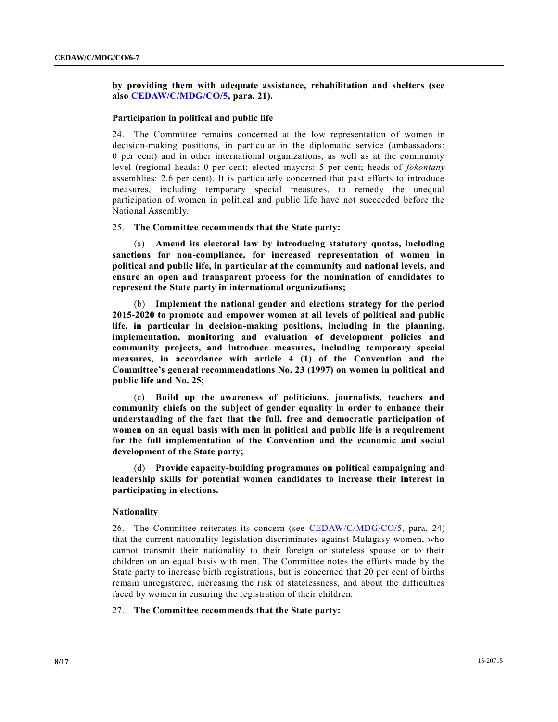**by providing them with adequate assistance, rehabilitation and shelters (see also [CEDAW/C/MDG/CO/5,](http://undocs.org/CEDAW/C/MDG/CO/5) para. 21).**

## **Participation in political and public life**

24. The Committee remains concerned at the low representation of women in decision-making positions, in particular in the diplomatic service (ambassadors: 0 per cent) and in other international organizations, as well as at the community level (regional heads: 0 per cent; elected mayors: 5 per cent; heads of *fokontany* assemblies: 2.6 per cent). It is particularly concerned that past efforts to introduce measures, including temporary special measures, to remedy the unequal participation of women in political and public life have not succeeded before the National Assembly.

## 25. **The Committee recommends that the State party:**

(a) **Amend its electoral law by introducing statutory quotas, including sanctions for non-compliance, for increased representation of women in political and public life, in particular at the community and national levels, and ensure an open and transparent process for the nomination of candidates to represent the State party in international organizations;** 

(b) **Implement the national gender and elections strategy for the period 2015-2020 to promote and empower women at all levels of political and public life, in particular in decision-making positions, including in the planning, implementation, monitoring and evaluation of development policies and community projects, and introduce measures, including temporary special measures, in accordance with article 4 (1) of the Convention and the Committee's general recommendations No. 23 (1997) on women in political and public life and No. 25;** 

(c) **Build up the awareness of politicians, journalists, teachers and community chiefs on the subject of gender equality in order to enhance their understanding of the fact that the full, free and democratic participation of women on an equal basis with men in political and public life is a requirement for the full implementation of the Convention and the economic and social development of the State party;**

(d) **Provide capacity-building programmes on political campaigning and leadership skills for potential women candidates to increase their interest in participating in elections.**

#### **Nationality**

26. The Committee reiterates its concern (see [CEDAW/C/MDG/CO/5,](http://undocs.org/CEDAW/C/MDG/CO/5) para. 24) that the current nationality legislation discriminates against Malagasy women, who cannot transmit their nationality to their foreign or stateless spouse or to their children on an equal basis with men. The Committee notes the efforts made by the State party to increase birth registrations, but is concerned that 20 per cent of births remain unregistered, increasing the risk of statelessness, and about the difficulties faced by women in ensuring the registration of their children.

## 27. **The Committee recommends that the State party:**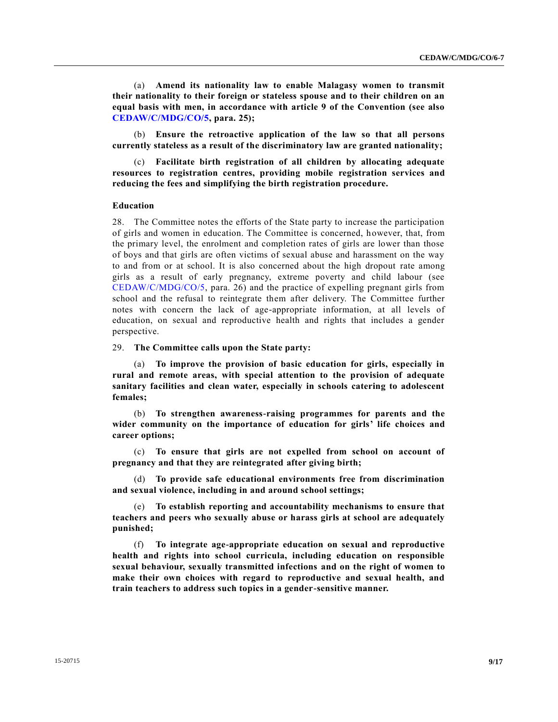(a) **Amend its nationality law to enable Malagasy women to transmit their nationality to their foreign or stateless spouse and to their children on an equal basis with men, in accordance with article 9 of the Convention (see also [CEDAW/C/MDG/CO/5,](http://undocs.org/CEDAW/C/MDG/CO/5) para. 25);**

(b) **Ensure the retroactive application of the law so that all persons currently stateless as a result of the discriminatory law are granted nationality;**

(c) **Facilitate birth registration of all children by allocating adequate resources to registration centres, providing mobile registration services and reducing the fees and simplifying the birth registration procedure.**

#### **Education**

28. The Committee notes the efforts of the State party to increase the participation of girls and women in education. The Committee is concerned, however, that, from the primary level, the enrolment and completion rates of girls are lower than those of boys and that girls are often victims of sexual abuse and harassment on the way to and from or at school. It is also concerned about the high dropout rate among girls as a result of early pregnancy, extreme poverty and child labour (see [CEDAW/C/MDG/CO/5,](http://undocs.org/CEDAW/C/MDG/CO/5) para. 26) and the practice of expelling pregnant girls from school and the refusal to reintegrate them after delivery. The Committee further notes with concern the lack of age-appropriate information, at all levels of education, on sexual and reproductive health and rights that includes a gender perspective.

29. **The Committee calls upon the State party:**

(a) **To improve the provision of basic education for girls, especially in rural and remote areas, with special attention to the provision of adequate sanitary facilities and clean water, especially in schools catering to adolescent females;**

(b) **To strengthen awareness-raising programmes for parents and the wider community on the importance of education for girls' life choices and career options;**

(c) **To ensure that girls are not expelled from school on account of pregnancy and that they are reintegrated after giving birth;**

(d) **To provide safe educational environments free from discrimination and sexual violence, including in and around school settings;**

(e) **To establish reporting and accountability mechanisms to ensure that teachers and peers who sexually abuse or harass girls at school are adequately punished;**

(f) **To integrate age-appropriate education on sexual and reproductive health and rights into school curricula, including education on responsible sexual behaviour, sexually transmitted infections and on the right of women to make their own choices with regard to reproductive and sexual health, and train teachers to address such topics in a gender-sensitive manner.**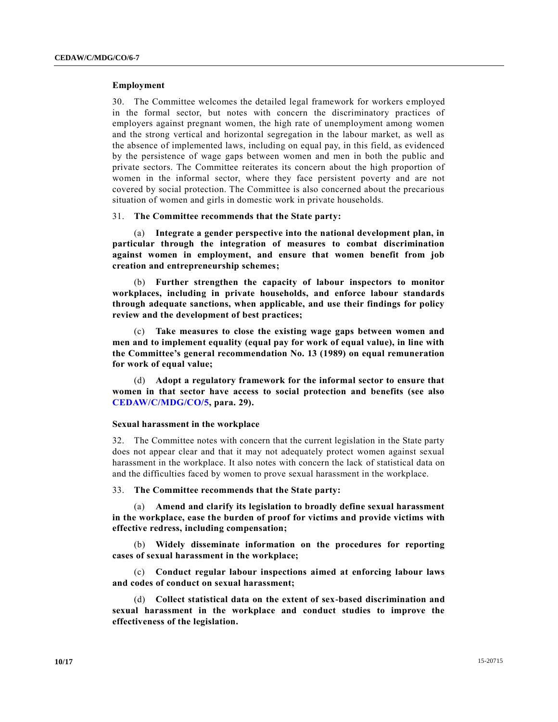## **Employment**

30. The Committee welcomes the detailed legal framework for workers employed in the formal sector, but notes with concern the discriminatory practices of employers against pregnant women, the high rate of unemployment among women and the strong vertical and horizontal segregation in the labour market, as well as the absence of implemented laws, including on equal pay, in this field, as evidenced by the persistence of wage gaps between women and men in both the public and private sectors. The Committee reiterates its concern about the high proportion of women in the informal sector, where they face persistent poverty and are not covered by social protection. The Committee is also concerned about the precarious situation of women and girls in domestic work in private households.

### 31. **The Committee recommends that the State party:**

(a) **Integrate a gender perspective into the national development plan, in particular through the integration of measures to combat discrimination against women in employment, and ensure that women benefit from job creation and entrepreneurship schemes;**

(b) **Further strengthen the capacity of labour inspectors to monitor workplaces, including in private households, and enforce labour standards through adequate sanctions, when applicable, and use their findings for policy review and the development of best practices;**

(c) **Take measures to close the existing wage gaps between women and men and to implement equality (equal pay for work of equal value), in line with the Committee's general recommendation No. 13 (1989) on equal remuneration for work of equal value;**

(d) **Adopt a regulatory framework for the informal sector to ensure that women in that sector have access to social protection and benefits (see also [CEDAW/C/MDG/CO/5,](http://undocs.org/CEDAW/C/MDG/CO/5) para. 29).**

### **Sexual harassment in the workplace**

32. The Committee notes with concern that the current legislation in the State party does not appear clear and that it may not adequately protect women against sexual harassment in the workplace. It also notes with concern the lack of statistical data on and the difficulties faced by women to prove sexual harassment in the workplace.

33. **The Committee recommends that the State party:**

(a) **Amend and clarify its legislation to broadly define sexual harassment in the workplace, ease the burden of proof for victims and provide victims with effective redress, including compensation;**

(b) **Widely disseminate information on the procedures for reporting cases of sexual harassment in the workplace;**

(c) **Conduct regular labour inspections aimed at enforcing labour laws and codes of conduct on sexual harassment;**

(d) **Collect statistical data on the extent of sex-based discrimination and sexual harassment in the workplace and conduct studies to improve the effectiveness of the legislation.**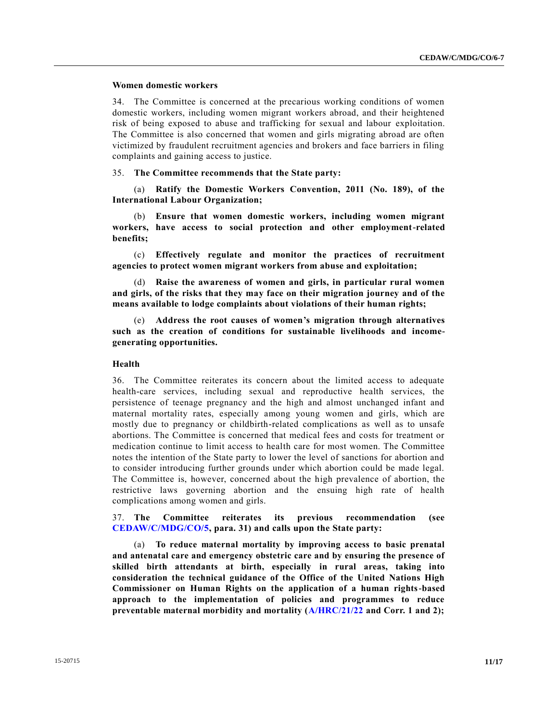## **Women domestic workers**

34. The Committee is concerned at the precarious working conditions of women domestic workers, including women migrant workers abroad, and their heightened risk of being exposed to abuse and trafficking for sexual and labour exploitation. The Committee is also concerned that women and girls migrating abroad are often victimized by fraudulent recruitment agencies and brokers and face barriers in filing complaints and gaining access to justice.

## 35. **The Committee recommends that the State party:**

(a) **Ratify the Domestic Workers Convention, 2011 (No. 189), of the International Labour Organization;**

(b) **Ensure that women domestic workers, including women migrant workers, have access to social protection and other employment-related benefits;**

(c) **Effectively regulate and monitor the practices of recruitment agencies to protect women migrant workers from abuse and exploitation;**

(d) **Raise the awareness of women and girls, in particular rural women and girls, of the risks that they may face on their migration journey and of the means available to lodge complaints about violations of their human rights;**

(e) **Address the root causes of women's migration through alternatives such as the creation of conditions for sustainable livelihoods and incomegenerating opportunities.**

## **Health**

36. The Committee reiterates its concern about the limited access to adequate health-care services, including sexual and reproductive health services, the persistence of teenage pregnancy and the high and almost unchanged infant and maternal mortality rates, especially among young women and girls, which are mostly due to pregnancy or childbirth-related complications as well as to unsafe abortions. The Committee is concerned that medical fees and costs for treatment or medication continue to limit access to health care for most women. The Committee notes the intention of the State party to lower the level of sanctions for abortion and to consider introducing further grounds under which abortion could be made legal. The Committee is, however, concerned about the high prevalence of abortion, the restrictive laws governing abortion and the ensuing high rate of health complications among women and girls.

37. **The Committee reiterates its previous recommendation (see [CEDAW/C/MDG/CO/5,](http://undocs.org/CEDAW/C/MDG/CO/5) para. 31) and calls upon the State party:**

(a) **To reduce maternal mortality by improving access to basic prenatal and antenatal care and emergency obstetric care and by ensuring the presence of skilled birth attendants at birth, especially in rural areas, taking into consideration the technical guidance of the Office of the United Nations High Commissioner on Human Rights on the application of a human rights-based approach to the implementation of policies and programmes to reduce preventable maternal morbidity and mortality [\(A/HRC/21/22](http://undocs.org/A/HRC/21/22) and Corr. 1 and 2);**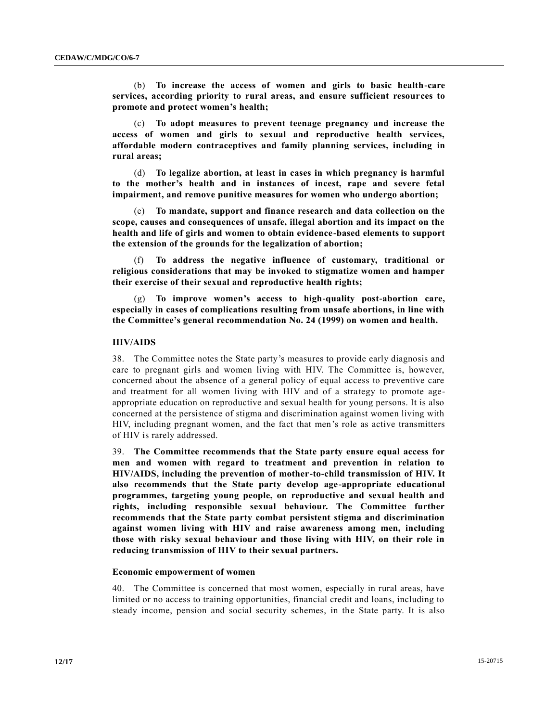(b) **To increase the access of women and girls to basic health-care services, according priority to rural areas, and ensure sufficient resources to promote and protect women's health;**

(c) **To adopt measures to prevent teenage pregnancy and increase the access of women and girls to sexual and reproductive health services, affordable modern contraceptives and family planning services, including in rural areas;**

(d) **To legalize abortion, at least in cases in which pregnancy is harmful to the mother's health and in instances of incest, rape and severe fetal impairment, and remove punitive measures for women who undergo abortion;**

(e) **To mandate, support and finance research and data collection on the scope, causes and consequences of unsafe, illegal abortion and its impact on the health and life of girls and women to obtain evidence-based elements to support the extension of the grounds for the legalization of abortion;**

(f) **To address the negative influence of customary, traditional or religious considerations that may be invoked to stigmatize women and hamper their exercise of their sexual and reproductive health rights;**

(g) **To improve women's access to high-quality post-abortion care, especially in cases of complications resulting from unsafe abortions, in line with the Committee's general recommendation No. 24 (1999) on women and health.**

## **HIV/AIDS**

38. The Committee notes the State party's measures to provide early diagnosis and care to pregnant girls and women living with HIV. The Committee is, however, concerned about the absence of a general policy of equal access to preventive care and treatment for all women living with HIV and of a strategy to promote ageappropriate education on reproductive and sexual health for young persons. It is also concerned at the persistence of stigma and discrimination against women living with HIV, including pregnant women, and the fact that men's role as active transmitters of HIV is rarely addressed.

39. **The Committee recommends that the State party ensure equal access for men and women with regard to treatment and prevention in relation to HIV/AIDS, including the prevention of mother-to-child transmission of HIV. It also recommends that the State party develop age-appropriate educational programmes, targeting young people, on reproductive and sexual health and rights, including responsible sexual behaviour. The Committee further recommends that the State party combat persistent stigma and discrimination against women living with HIV and raise awareness among men, including those with risky sexual behaviour and those living with HIV, on their role in reducing transmission of HIV to their sexual partners.**

#### **Economic empowerment of women**

40. The Committee is concerned that most women, especially in rural areas, have limited or no access to training opportunities, financial credit and loans, including to steady income, pension and social security schemes, in the State party. It is also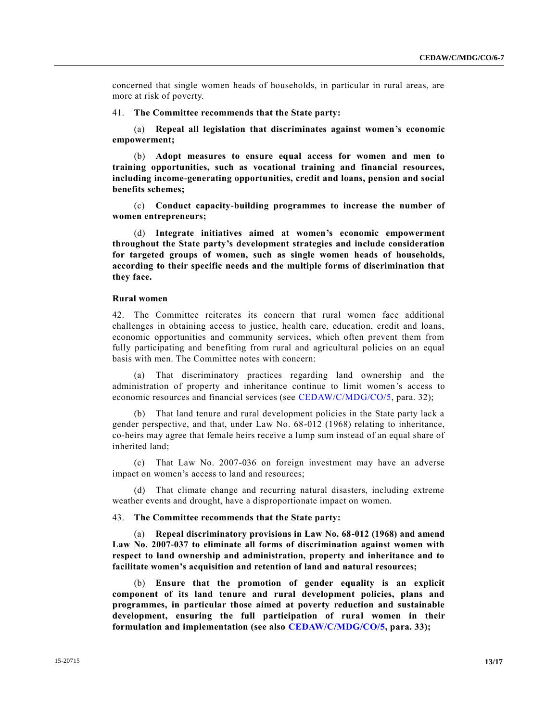concerned that single women heads of households, in particular in rural areas, are more at risk of poverty.

41. **The Committee recommends that the State party:**

(a) **Repeal all legislation that discriminates against women's economic empowerment;**

(b) **Adopt measures to ensure equal access for women and men to training opportunities, such as vocational training and financial resources, including income-generating opportunities, credit and loans, pension and social benefits schemes;**

(c) **Conduct capacity-building programmes to increase the number of women entrepreneurs;**

(d) **Integrate initiatives aimed at women's economic empowerment throughout the State party's development strategies and include consideration for targeted groups of women, such as single women heads of households, according to their specific needs and the multiple forms of discrimination that they face.**

## **Rural women**

42. The Committee reiterates its concern that rural women face additional challenges in obtaining access to justice, health care, education, credit and loans, economic opportunities and community services, which often prevent them from fully participating and benefiting from rural and agricultural policies on an equal basis with men. The Committee notes with concern:

(a) That discriminatory practices regarding land ownership and the administration of property and inheritance continue to limit women's access to economic resources and financial services (see [CEDAW/C/MDG/CO/5,](http://undocs.org/CEDAW/C/MDG/CO/5) para. 32);

(b) That land tenure and rural development policies in the State party lack a gender perspective, and that, under Law No. 68-012 (1968) relating to inheritance, co-heirs may agree that female heirs receive a lump sum instead of an equal share of inherited land;

(c) That Law No. 2007-036 on foreign investment may have an adverse impact on women's access to land and resources;

(d) That climate change and recurring natural disasters, including extreme weather events and drought, have a disproportionate impact on women.

## 43. **The Committee recommends that the State party:**

(a) **Repeal discriminatory provisions in Law No. 68-012 (1968) and amend Law No. 2007-037 to eliminate all forms of discrimination against women with respect to land ownership and administration, property and inheritance and to facilitate women's acquisition and retention of land and natural resources;**

(b) **Ensure that the promotion of gender equality is an explicit component of its land tenure and rural development policies, plans and programmes, in particular those aimed at poverty reduction and sustainable development, ensuring the full participation of rural women in their formulation and implementation (see also [CEDAW/C/MDG/CO/5,](http://undocs.org/CEDAW/C/MDG/CO/5) para. 33);**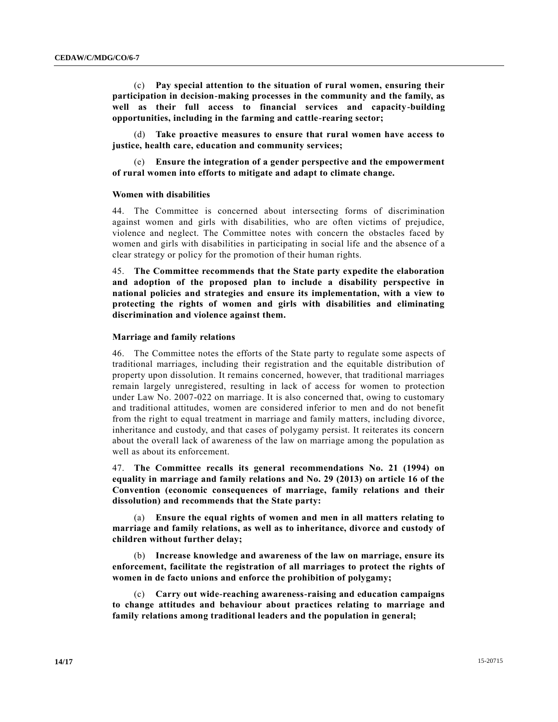(c) **Pay special attention to the situation of rural women, ensuring their participation in decision-making processes in the community and the family, as well as their full access to financial services and capacity-building opportunities, including in the farming and cattle-rearing sector;**

(d) **Take proactive measures to ensure that rural women have access to justice, health care, education and community services;**

(e) **Ensure the integration of a gender perspective and the empowerment of rural women into efforts to mitigate and adapt to climate change.** 

#### **Women with disabilities**

44. The Committee is concerned about intersecting forms of discrimination against women and girls with disabilities, who are often victims of prejudice, violence and neglect. The Committee notes with concern the obstacles faced by women and girls with disabilities in participating in social life and the absence of a clear strategy or policy for the promotion of their human rights.

45. **The Committee recommends that the State party expedite the elaboration and adoption of the proposed plan to include a disability perspective in national policies and strategies and ensure its implementation, with a view to protecting the rights of women and girls with disabilities and eliminating discrimination and violence against them.**

## **Marriage and family relations**

46. The Committee notes the efforts of the State party to regulate some aspects of traditional marriages, including their registration and the equitable distribution of property upon dissolution. It remains concerned, however, that traditional marriages remain largely unregistered, resulting in lack of access for women to protection under Law No. 2007-022 on marriage. It is also concerned that, owing to customary and traditional attitudes, women are considered inferior to men and do not benefit from the right to equal treatment in marriage and family matters, including divorce, inheritance and custody, and that cases of polygamy persist. It reiterates its concern about the overall lack of awareness of the law on marriage among the population as well as about its enforcement.

47. **The Committee recalls its general recommendations No. 21 (1994) on equality in marriage and family relations and No. 29 (2013) on article 16 of the Convention (economic consequences of marriage, family relations and their dissolution) and recommends that the State party:** 

(a) **Ensure the equal rights of women and men in all matters relating to marriage and family relations, as well as to inheritance, divorce and custody of children without further delay;** 

(b) **Increase knowledge and awareness of the law on marriage, ensure its enforcement, facilitate the registration of all marriages to protect the rights of women in de facto unions and enforce the prohibition of polygamy;**

(c) **Carry out wide-reaching awareness-raising and education campaigns to change attitudes and behaviour about practices relating to marriage and family relations among traditional leaders and the population in general;**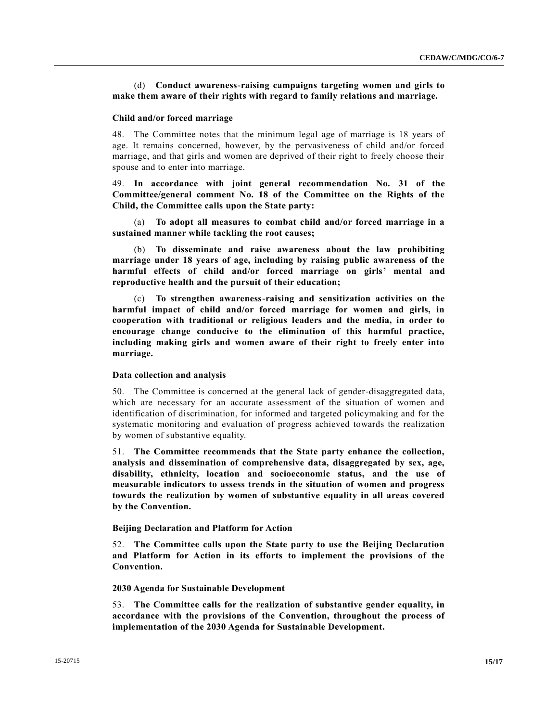## (d) **Conduct awareness-raising campaigns targeting women and girls to make them aware of their rights with regard to family relations and marriage.**

## **Child and/or forced marriage**

48. The Committee notes that the minimum legal age of marriage is 18 years of age. It remains concerned, however, by the pervasiveness of child and/or forced marriage, and that girls and women are deprived of their right to freely choose their spouse and to enter into marriage.

49. **In accordance with joint general recommendation No. 31 of the Committee/general comment No. 18 of the Committee on the Rights of the Child, the Committee calls upon the State party:**

(a) **To adopt all measures to combat child and/or forced marriage in a sustained manner while tackling the root causes;**

(b) **To disseminate and raise awareness about the law prohibiting marriage under 18 years of age, including by raising public awareness of the harmful effects of child and/or forced marriage on girls' mental and reproductive health and the pursuit of their education;** 

(c) **To strengthen awareness-raising and sensitization activities on the harmful impact of child and/or forced marriage for women and girls, in cooperation with traditional or religious leaders and the media, in order to encourage change conducive to the elimination of this harmful practice, including making girls and women aware of their right to freely enter into marriage.**

## **Data collection and analysis**

50. The Committee is concerned at the general lack of gender-disaggregated data, which are necessary for an accurate assessment of the situation of women and identification of discrimination, for informed and targeted policymaking and for the systematic monitoring and evaluation of progress achieved towards the realization by women of substantive equality.

51. **The Committee recommends that the State party enhance the collection, analysis and dissemination of comprehensive data, disaggregated by sex, age, disability, ethnicity, location and socioeconomic status, and the use of measurable indicators to assess trends in the situation of women and progress towards the realization by women of substantive equality in all areas covered by the Convention.**

## **Beijing Declaration and Platform for Action**

52. **The Committee calls upon the State party to use the Beijing Declaration and Platform for Action in its efforts to implement the provisions of the Convention.**

## **2030 Agenda for Sustainable Development**

53. **The Committee calls for the realization of substantive gender equality, in accordance with the provisions of the Convention, throughout the process of implementation of the 2030 Agenda for Sustainable Development.**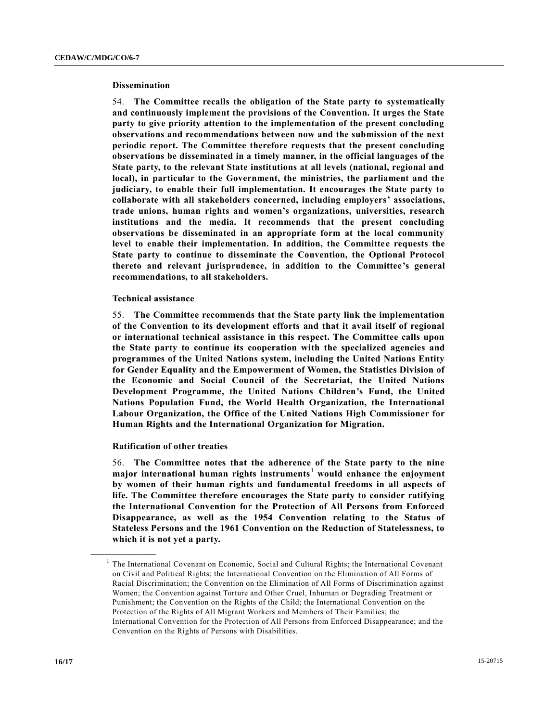### **Dissemination**

54. **The Committee recalls the obligation of the State party to systematically and continuously implement the provisions of the Convention. It urges the State party to give priority attention to the implementation of the present concluding observations and recommendations between now and the submission of the next periodic report. The Committee therefore requests that the present concluding observations be disseminated in a timely manner, in the official languages of the State party, to the relevant State institutions at all levels (national, regional and local), in particular to the Government, the ministries, the parliament and the judiciary, to enable their full implementation. It encourages the State party to collaborate with all stakeholders concerned, including employers' associations, trade unions, human rights and women's organizations, universities, research institutions and the media. It recommends that the present concluding observations be disseminated in an appropriate form at the local community**  level to enable their implementation. In addition, the Committee requests the **State party to continue to disseminate the Convention, the Optional Protocol thereto and relevant jurisprudence, in addition to the Committee's general recommendations, to all stakeholders.**

## **Technical assistance**

55. **The Committee recommends that the State party link the implementation of the Convention to its development efforts and that it avail itself of regional or international technical assistance in this respect. The Committee calls upon the State party to continue its cooperation with the specialized agencies and programmes of the United Nations system, including the United Nations Entity for Gender Equality and the Empowerment of Women, the Statistics Division of the Economic and Social Council of the Secretariat, the United Nations Development Programme, the United Nations Children's Fund, the United Nations Population Fund, the World Health Organization, the International Labour Organization, the Office of the United Nations High Commissioner for Human Rights and the International Organization for Migration.**

#### **Ratification of other treaties**

**\_\_\_\_\_\_\_\_\_\_\_\_\_\_\_\_\_\_**

56. **The Committee notes that the adherence of the State party to the nine major international human rights instruments**<sup>1</sup> **would enhance the enjoyment by women of their human rights and fundamental freedoms in all aspects of life. The Committee therefore encourages the State party to consider ratifying the International Convention for the Protection of All Persons from Enforced Disappearance, as well as the 1954 Convention relating to the Status of Stateless Persons and the 1961 Convention on the Reduction of Statelessness, to which it is not yet a party.**

<sup>&</sup>lt;sup>1</sup> The International Covenant on Economic, Social and Cultural Rights; the International Covenant on Civil and Political Rights; the International Convention on the Elimination of All Forms of Racial Discrimination; the Convention on the Elimination of All Forms of Discrimination against Women; the Convention against Torture and Other Cruel, Inhuman or Degrading Treatment or Punishment; the Convention on the Rights of the Child; the International Convention on the Protection of the Rights of All Migrant Workers and Members of Their Families; the International Convention for the Protection of All Persons from Enforced Disappearance; and the Convention on the Rights of Persons with Disabilities.